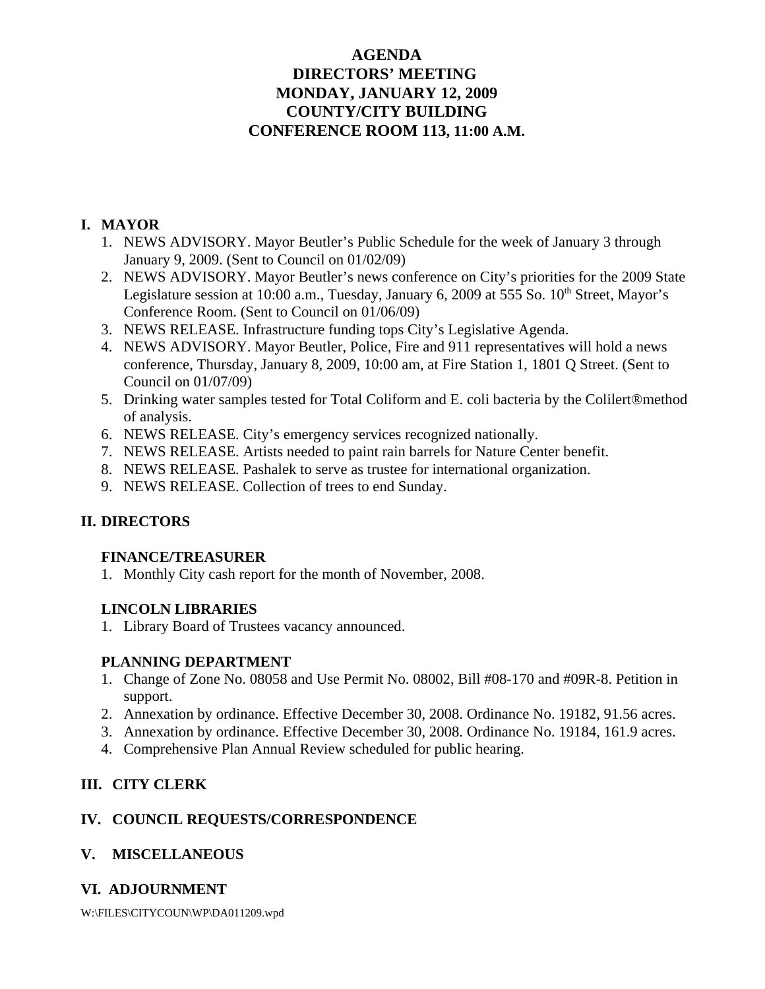# **AGENDA DIRECTORS' MEETING MONDAY, JANUARY 12, 2009 COUNTY/CITY BUILDING CONFERENCE ROOM 113, 11:00 A.M.**

# **I. MAYOR**

- 1. NEWS ADVISORY. Mayor Beutler's Public Schedule for the week of January 3 through January 9, 2009. (Sent to Council on 01/02/09)
- 2. NEWS ADVISORY. Mayor Beutler's news conference on City's priorities for the 2009 State Legislature session at 10:00 a.m., Tuesday, January 6, 2009 at 555 So. 10<sup>th</sup> Street, Mayor's Conference Room. (Sent to Council on 01/06/09)
- 3. NEWS RELEASE. Infrastructure funding tops City's Legislative Agenda.
- 4. NEWS ADVISORY. Mayor Beutler, Police, Fire and 911 representatives will hold a news conference, Thursday, January 8, 2009, 10:00 am, at Fire Station 1, 1801 Q Street. (Sent to Council on 01/07/09)
- 5. Drinking water samples tested for Total Coliform and E. coli bacteria by the Colilert®method of analysis.
- 6. NEWS RELEASE. City's emergency services recognized nationally.
- 7. NEWS RELEASE. Artists needed to paint rain barrels for Nature Center benefit.
- 8. NEWS RELEASE. Pashalek to serve as trustee for international organization.
- 9. NEWS RELEASE. Collection of trees to end Sunday.

# **II. DIRECTORS**

## **FINANCE/TREASURER**

1. Monthly City cash report for the month of November, 2008.

# **LINCOLN LIBRARIES**

1. Library Board of Trustees vacancy announced.

# **PLANNING DEPARTMENT**

- 1. Change of Zone No. 08058 and Use Permit No. 08002, Bill #08-170 and #09R-8. Petition in support.
- 2. Annexation by ordinance. Effective December 30, 2008. Ordinance No. 19182, 91.56 acres.
- 3. Annexation by ordinance. Effective December 30, 2008. Ordinance No. 19184, 161.9 acres.
- 4. Comprehensive Plan Annual Review scheduled for public hearing.

# **III. CITY CLERK**

# **IV. COUNCIL REQUESTS/CORRESPONDENCE**

# **V. MISCELLANEOUS**

# **VI. ADJOURNMENT**

W:\FILES\CITYCOUN\WP\DA011209.wpd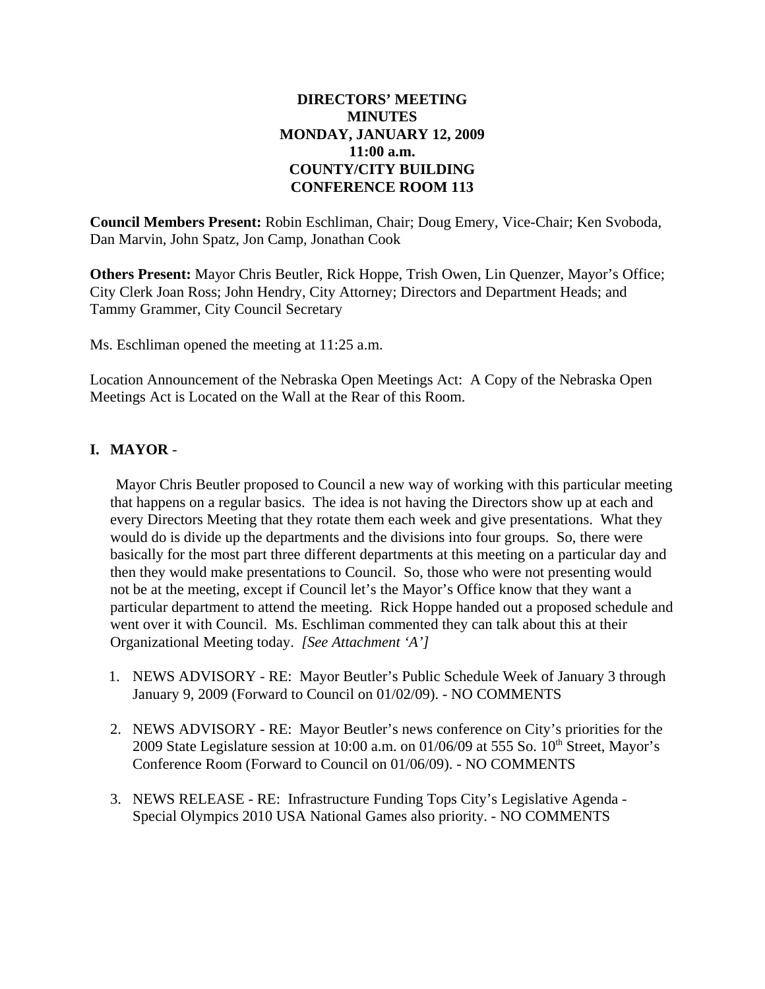# **DIRECTORS' MEETING MINUTES MONDAY, JANUARY 12, 2009 11:00 a.m. COUNTY/CITY BUILDING CONFERENCE ROOM 113**

**Council Members Present:** Robin Eschliman, Chair; Doug Emery, Vice-Chair; Ken Svoboda, Dan Marvin, John Spatz, Jon Camp, Jonathan Cook

**Others Present:** Mayor Chris Beutler, Rick Hoppe, Trish Owen, Lin Quenzer, Mayor's Office; City Clerk Joan Ross; John Hendry, City Attorney; Directors and Department Heads; and Tammy Grammer, City Council Secretary

Ms. Eschliman opened the meeting at 11:25 a.m.

Location Announcement of the Nebraska Open Meetings Act: A Copy of the Nebraska Open Meetings Act is Located on the Wall at the Rear of this Room.

## **I. MAYOR** -

Mayor Chris Beutler proposed to Council a new way of working with this particular meeting that happens on a regular basics. The idea is not having the Directors show up at each and every Directors Meeting that they rotate them each week and give presentations. What they would do is divide up the departments and the divisions into four groups. So, there were basically for the most part three different departments at this meeting on a particular day and then they would make presentations to Council. So, those who were not presenting would not be at the meeting, except if Council let's the Mayor's Office know that they want a particular department to attend the meeting. Rick Hoppe handed out a proposed schedule and went over it with Council. Ms. Eschliman commented they can talk about this at their Organizational Meeting today. *[See Attachment 'A']*

- 1. NEWS ADVISORY RE: Mayor Beutler's Public Schedule Week of January 3 through January 9, 2009 (Forward to Council on 01/02/09). - NO COMMENTS
- 2. NEWS ADVISORY RE: Mayor Beutler's news conference on City's priorities for the 2009 State Legislature session at 10:00 a.m. on 01/06/09 at 555 So.  $10<sup>th</sup>$  Street, Mayor's Conference Room (Forward to Council on 01/06/09). - NO COMMENTS
- 3. NEWS RELEASE RE: Infrastructure Funding Tops City's Legislative Agenda Special Olympics 2010 USA National Games also priority. - NO COMMENTS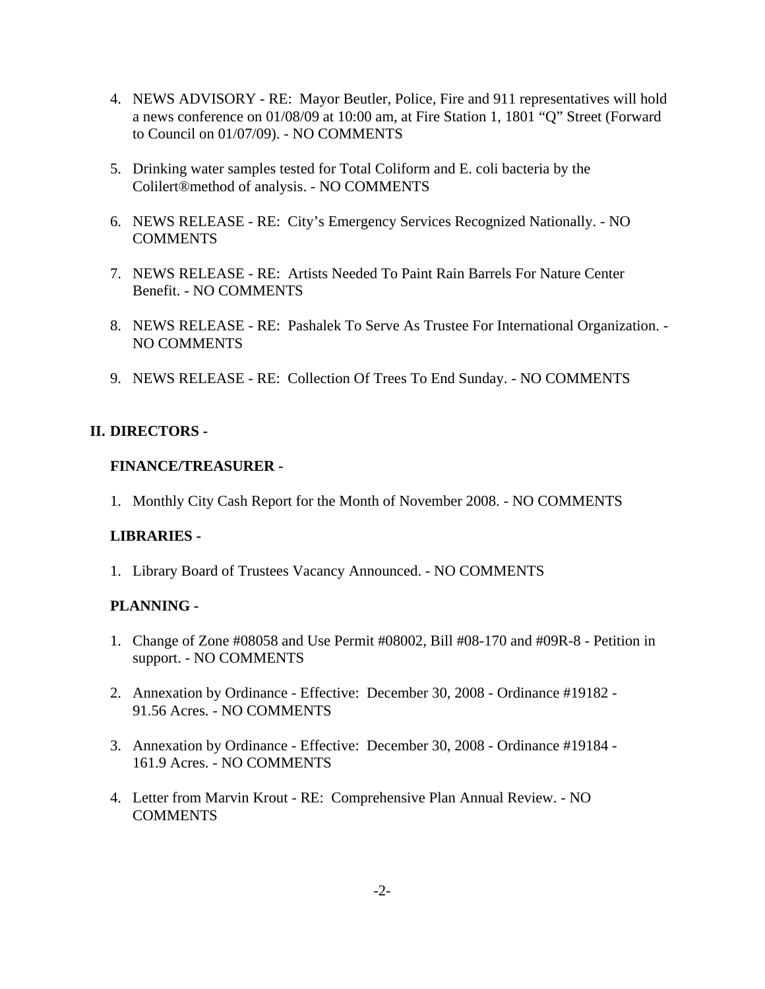- 4. NEWS ADVISORY RE: Mayor Beutler, Police, Fire and 911 representatives will hold a news conference on 01/08/09 at 10:00 am, at Fire Station 1, 1801 "Q" Street (Forward to Council on 01/07/09). - NO COMMENTS
- 5. Drinking water samples tested for Total Coliform and E. coli bacteria by the Colilert®method of analysis. - NO COMMENTS
- 6. NEWS RELEASE RE: City's Emergency Services Recognized Nationally. NO COMMENTS
- 7. NEWS RELEASE RE: Artists Needed To Paint Rain Barrels For Nature Center Benefit. - NO COMMENTS
- 8. NEWS RELEASE RE: Pashalek To Serve As Trustee For International Organization. NO COMMENTS
- 9. NEWS RELEASE RE: Collection Of Trees To End Sunday. NO COMMENTS

## **II. DIRECTORS -**

## **FINANCE/TREASURER -**

1. Monthly City Cash Report for the Month of November 2008. - NO COMMENTS

## **LIBRARIES -**

1. Library Board of Trustees Vacancy Announced. - NO COMMENTS

## **PLANNING -**

- 1. Change of Zone #08058 and Use Permit #08002, Bill #08-170 and #09R-8 Petition in support. - NO COMMENTS
- 2. Annexation by Ordinance Effective: December 30, 2008 Ordinance #19182 91.56 Acres. - NO COMMENTS
- 3. Annexation by Ordinance Effective: December 30, 2008 Ordinance #19184 161.9 Acres. - NO COMMENTS
- 4. Letter from Marvin Krout RE: Comprehensive Plan Annual Review. NO **COMMENTS**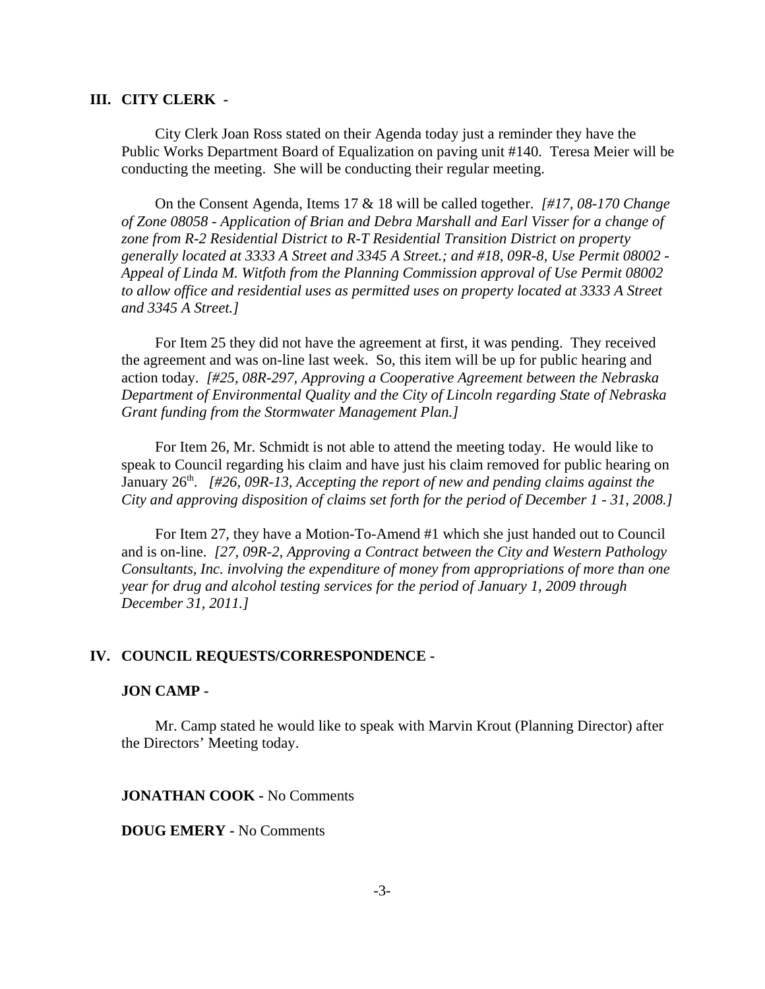#### **III. CITY CLERK -**

City Clerk Joan Ross stated on their Agenda today just a reminder they have the Public Works Department Board of Equalization on paving unit #140. Teresa Meier will be conducting the meeting. She will be conducting their regular meeting.

On the Consent Agenda, Items 17 & 18 will be called together. *[#17, 08-170 Change of Zone 08058 - Application of Brian and Debra Marshall and Earl Visser for a change of zone from R-2 Residential District to R-T Residential Transition District on property generally located at 3333 A Street and 3345 A Street.; and #18, 09R-8, Use Permit 08002 - Appeal of Linda M. Witfoth from the Planning Commission approval of Use Permit 08002 to allow office and residential uses as permitted uses on property located at 3333 A Street and 3345 A Street.]* 

For Item 25 they did not have the agreement at first, it was pending. They received the agreement and was on-line last week. So, this item will be up for public hearing and action today. *[#25, 08R-297, Approving a Cooperative Agreement between the Nebraska Department of Environmental Quality and the City of Lincoln regarding State of Nebraska Grant funding from the Stormwater Management Plan.]*

For Item 26, Mr. Schmidt is not able to attend the meeting today. He would like to speak to Council regarding his claim and have just his claim removed for public hearing on January 26<sup>th</sup>. *[#26, 09R-13, Accepting the report of new and pending claims against the City and approving disposition of claims set forth for the period of December 1 - 31, 2008.]*

For Item 27, they have a Motion-To-Amend #1 which she just handed out to Council and is on-line. *[27, 09R-2, Approving a Contract between the City and Western Pathology Consultants, Inc. involving the expenditure of money from appropriations of more than one year for drug and alcohol testing services for the period of January 1, 2009 through December 31, 2011.]*

#### **IV. COUNCIL REQUESTS/CORRESPONDENCE -**

#### **JON CAMP -**

Mr. Camp stated he would like to speak with Marvin Krout (Planning Director) after the Directors' Meeting today.

#### **JONATHAN COOK -** No Comments

#### **DOUG EMERY -** No Comments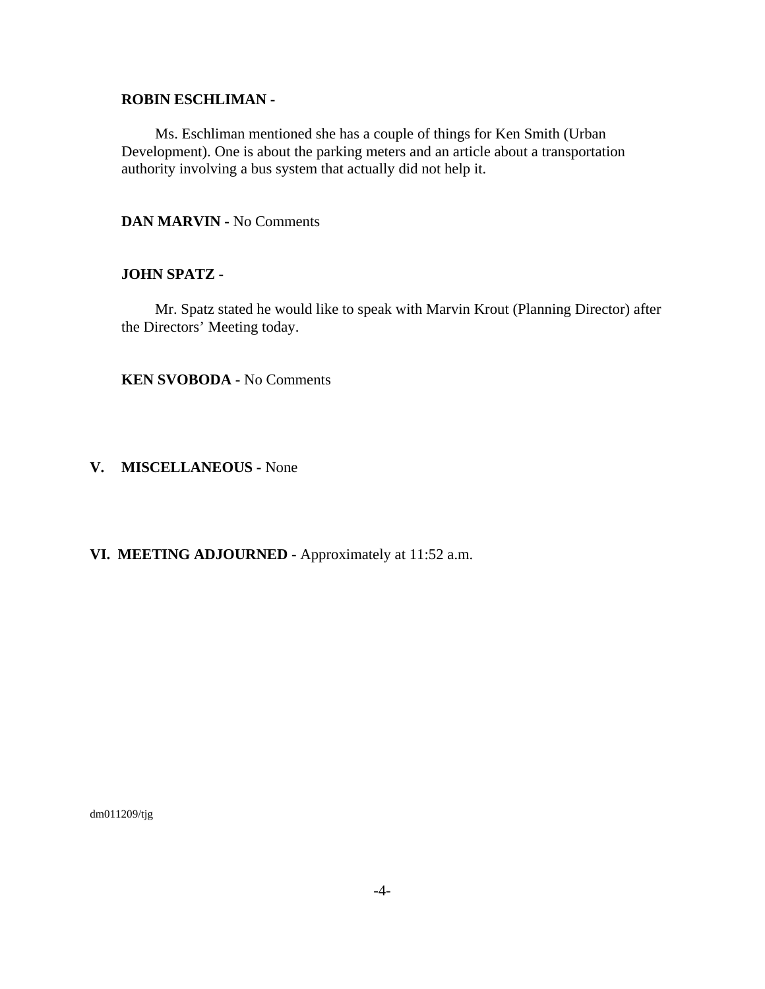### **ROBIN ESCHLIMAN -**

Ms. Eschliman mentioned she has a couple of things for Ken Smith (Urban Development). One is about the parking meters and an article about a transportation authority involving a bus system that actually did not help it.

### **DAN MARVIN -** No Comments

#### **JOHN SPATZ -**

Mr. Spatz stated he would like to speak with Marvin Krout (Planning Director) after the Directors' Meeting today.

**KEN SVOBODA -** No Comments

#### **V. MISCELLANEOUS -** None

### **VI. MEETING ADJOURNED** - Approximately at 11:52 a.m.

dm011209/tjg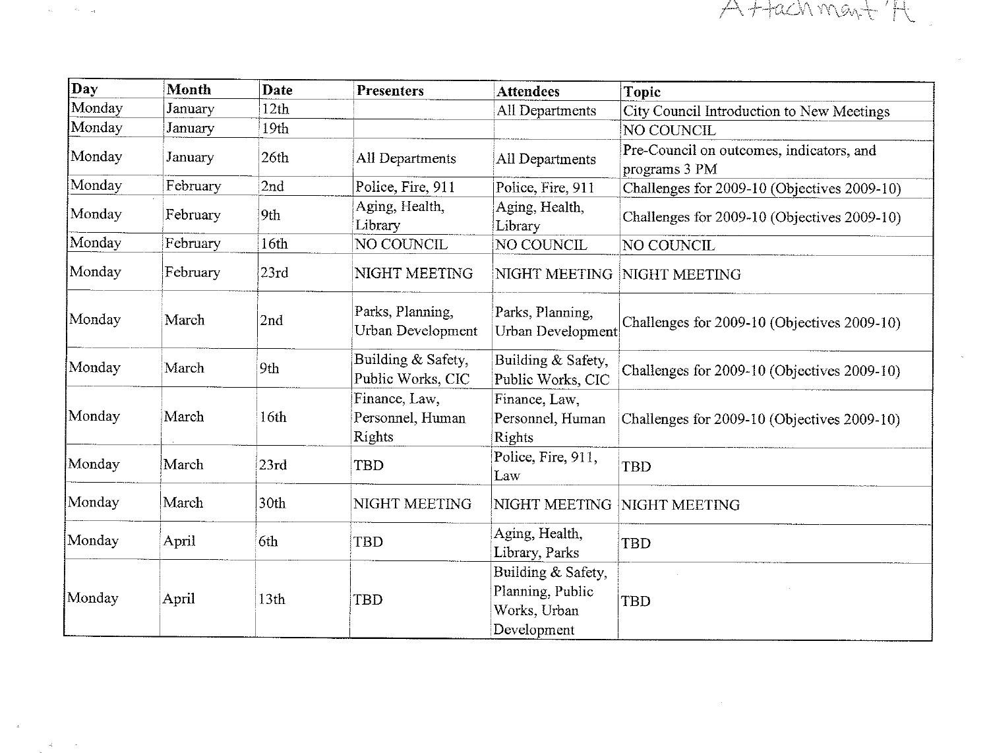

| Day    | <b>Month</b> | Date             | <b>Presenters</b>                           | <b>Attendees</b>                                                      | <b>Topic</b>                                              |
|--------|--------------|------------------|---------------------------------------------|-----------------------------------------------------------------------|-----------------------------------------------------------|
| Monday | January      | 12 <sub>th</sub> |                                             | All Departments                                                       | City Council Introduction to New Meetings                 |
| Monday | January      | 19th             |                                             |                                                                       | NO COUNCIL                                                |
| Monday | January      | 26th             | All Departments                             | All Departments                                                       | Pre-Council on outcomes, indicators, and<br>programs 3 PM |
| Monday | February     | 2nd              | Police, Fire, 911                           | Police, Fire, 911                                                     | Challenges for 2009-10 (Objectives 2009-10)               |
| Monday | February     | 9th              | Aging, Health,<br>Library                   | Aging, Health,<br>Library                                             | Challenges for 2009-10 (Objectives 2009-10)               |
| Monday | February     | 16th             | NO COUNCIL                                  | NO COUNCIL                                                            | NO COUNCIL                                                |
| Monday | February     | 23rd             | NIGHT MEETING                               | NIGHT MEETING                                                         | NIGHT MEETING                                             |
| Monday | March        | 2nd              | Parks, Planning,<br>Urban Development       | Parks, Planning,<br>Urban Development                                 | Challenges for 2009-10 (Objectives 2009-10)               |
| Monday | March        | 9th              | Building & Safety,<br>Public Works, CIC     | Building & Safety,<br>Public Works, CIC                               | Challenges for 2009-10 (Objectives 2009-10)               |
| Monday | March        | 16 <sub>th</sub> | Finance, Law,<br>Personnel, Human<br>Rights | Finance, Law,<br>Personnel, Human<br>Rights                           | Challenges for 2009-10 (Objectives 2009-10)               |
| Monday | March        | 23rd             | TBD                                         | Police, Fire, 911,<br>Law                                             | <b>TBD</b>                                                |
| Monday | March        | 30th             | NIGHT MEETING                               | NIGHT MEETING                                                         | NIGHT MEETING                                             |
| Monday | April        | 6th              | <b>TBD</b>                                  | Aging, Health,<br>Library, Parks                                      | <b>TBD</b>                                                |
| Monday | April        | 13 <sub>th</sub> | <b>TBD</b>                                  | Building & Safety,<br>Planning, Public<br>Works, Urban<br>Development | TBD                                                       |

 $\sigma_{\rm H} = \sigma_{\rm eff}$ 

 $\bar{R}$ 

 $\mathcal{L}$